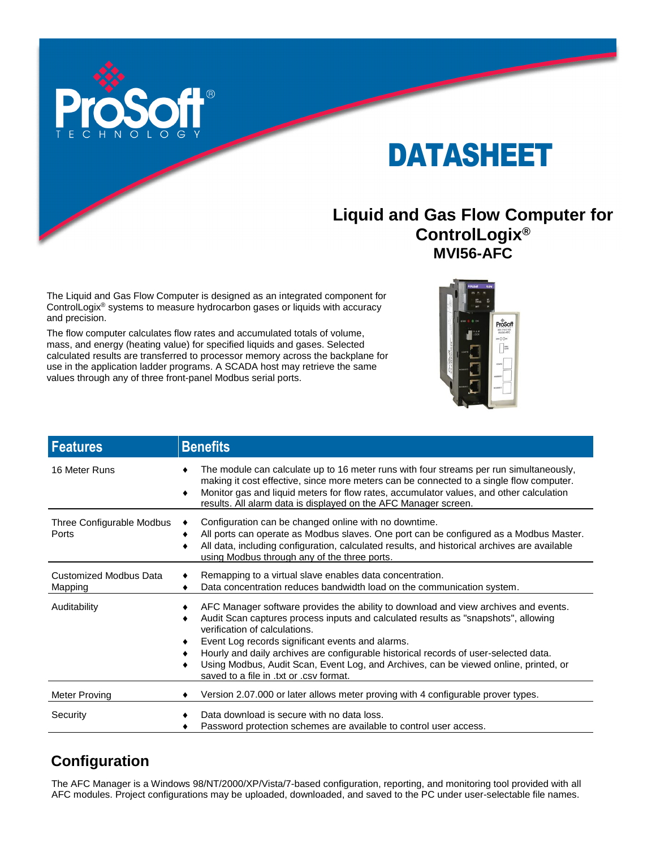

# DATASHEET

#### **Liquid and Gas Flow Computer for ControlLogix® MVI56-AFC**

The Liquid and Gas Flow Computer is designed as an integrated component for ControlLogix® systems to measure hydrocarbon gases or liquids with accuracy and precision.

The flow computer calculates flow rates and accumulated totals of volume, mass, and energy (heating value) for specified liquids and gases. Selected calculated results are transferred to processor memory across the backplane for use in the application ladder programs. A SCADA host may retrieve the same values through any of three front-panel Modbus serial ports.



| <b>Features</b>                    | <b>Benefits</b>                                                                                                                                                                                                                                                                                                                                                                                                                                                                                          |
|------------------------------------|----------------------------------------------------------------------------------------------------------------------------------------------------------------------------------------------------------------------------------------------------------------------------------------------------------------------------------------------------------------------------------------------------------------------------------------------------------------------------------------------------------|
| 16 Meter Runs                      | The module can calculate up to 16 meter runs with four streams per run simultaneously,<br>making it cost effective, since more meters can be connected to a single flow computer.<br>Monitor gas and liquid meters for flow rates, accumulator values, and other calculation<br>٠<br>results. All alarm data is displayed on the AFC Manager screen.                                                                                                                                                     |
| Three Configurable Modbus<br>Ports | Configuration can be changed online with no downtime.<br>All ports can operate as Modbus slaves. One port can be configured as a Modbus Master.<br>All data, including configuration, calculated results, and historical archives are available<br>٠<br>using Modbus through any of the three ports.                                                                                                                                                                                                     |
| Customized Modbus Data<br>Mapping  | Remapping to a virtual slave enables data concentration.<br>Data concentration reduces bandwidth load on the communication system.                                                                                                                                                                                                                                                                                                                                                                       |
| Auditability                       | AFC Manager software provides the ability to download and view archives and events.<br>Audit Scan captures process inputs and calculated results as "snapshots", allowing<br>٠<br>verification of calculations.<br>Event Log records significant events and alarms.<br>٠<br>Hourly and daily archives are configurable historical records of user-selected data.<br>Using Modbus, Audit Scan, Event Log, and Archives, can be viewed online, printed, or<br>٠<br>saved to a file in .txt or .csv format. |
| Meter Proving                      | Version 2.07.000 or later allows meter proving with 4 configurable prover types.                                                                                                                                                                                                                                                                                                                                                                                                                         |
| Security                           | Data download is secure with no data loss.<br>Password protection schemes are available to control user access.                                                                                                                                                                                                                                                                                                                                                                                          |

#### **Configuration**

The AFC Manager is a Windows 98/NT/2000/XP/Vista/7-based configuration, reporting, and monitoring tool provided with all AFC modules. Project configurations may be uploaded, downloaded, and saved to the PC under user-selectable file names.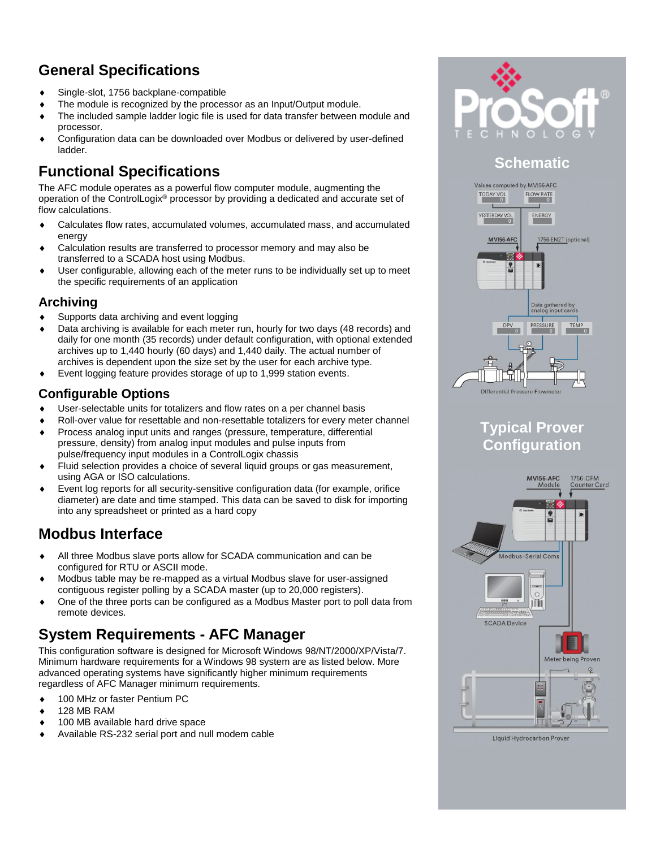# **General Specifications**

- Single-slot, 1756 backplane-compatible
- The module is recognized by the processor as an Input/Output module.
- The included sample ladder logic file is used for data transfer between module and processor.
- Configuration data can be downloaded over Modbus or delivered by user-defined ladder.

#### **Functional Specifications**

The AFC module operates as a powerful flow computer module, augmenting the operation of the ControlLogix® processor by providing a dedicated and accurate set of flow calculations.

- Calculates flow rates, accumulated volumes, accumulated mass, and accumulated energy
- Calculation results are transferred to processor memory and may also be transferred to a SCADA host using Modbus.
- User configurable, allowing each of the meter runs to be individually set up to meet the specific requirements of an application

#### **Archiving**

- Supports data archiving and event logging
- Data archiving is available for each meter run, hourly for two days (48 records) and daily for one month (35 records) under default configuration, with optional extended archives up to 1,440 hourly (60 days) and 1,440 daily. The actual number of archives is dependent upon the size set by the user for each archive type.
- Event logging feature provides storage of up to 1,999 station events.

#### **Configurable Options**

- User-selectable units for totalizers and flow rates on a per channel basis
- Roll-over value for resettable and non-resettable totalizers for every meter channel
- Process analog input units and ranges (pressure, temperature, differential pressure, density) from analog input modules and pulse inputs from pulse/frequency input modules in a ControlLogix chassis
- Fluid selection provides a choice of several liquid groups or gas measurement, using AGA or ISO calculations.
- Event log reports for all security-sensitive configuration data (for example, orifice diameter) are date and time stamped. This data can be saved to disk for importing into any spreadsheet or printed as a hard copy

#### **Modbus Interface**

- All three Modbus slave ports allow for SCADA communication and can be configured for RTU or ASCII mode.
- Modbus table may be re-mapped as a virtual Modbus slave for user-assigned contiguous register polling by a SCADA master (up to 20,000 registers).
- One of the three ports can be configured as a Modbus Master port to poll data from remote devices.

#### **System Requirements - AFC Manager**

This configuration software is designed for Microsoft Windows 98/NT/2000/XP/Vista/7. Minimum hardware requirements for a Windows 98 system are as listed below. More advanced operating systems have significantly higher minimum requirements regardless of AFC Manager minimum requirements.

- ◆ 100 MHz or faster Pentium PC
- 128 MB RAM
- 100 MB available hard drive space
- Available RS-232 serial port and null modem cable



## **Schematic**



#### **Typical Prover Configuration**



Liquid Hydrocarbon Prover